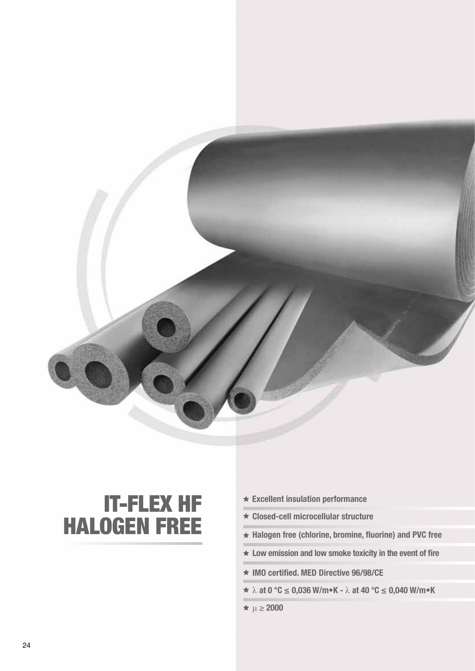

# IT-FLEX HF HALOGEN FREE

- **Excellent insulation performance**
- **Closed-cell microcellular structure**
- **Halogen free (chlorine, bromine, fluorine) and PVC free**
- **Low emission and low smoke toxicity in the event of fire**
- **IMO certified. MED Directive 96/98/CE**
- λ **at 0 °C ≤ 0,036 W/m•K** λ **at 40 °C ≤ 0,040 W/m•K**
- $\star \mu \geq 2000$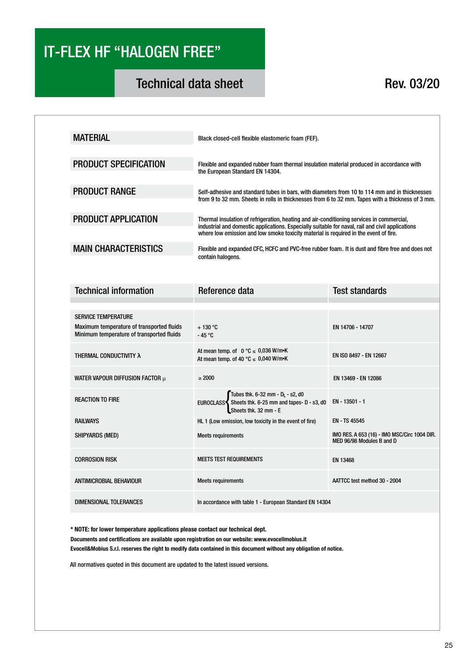## IT-FLEX HF "HALOGEN FREE"

## Technical data sheet Rev. 03/20

| <b>MATERIAL</b>              | Black closed-cell flexible elastomeric foam (FEF).                                                                                                                                                                                                                                    |
|------------------------------|---------------------------------------------------------------------------------------------------------------------------------------------------------------------------------------------------------------------------------------------------------------------------------------|
| <b>PRODUCT SPECIFICATION</b> | Flexible and expanded rubber foam thermal insulation material produced in accordance with<br>the European Standard EN 14304.                                                                                                                                                          |
| <b>PRODUCT RANGE</b>         | Self-adhesive and standard tubes in bars, with diameters from 10 to 114 mm and in thicknesses<br>from 9 to 32 mm. Sheets in rolls in thicknesses from 6 to 32 mm. Tapes with a thickness of 3 mm.                                                                                     |
| <b>PRODUCT APPLICATION</b>   | Thermal insulation of refrigeration, heating and air-conditioning services in commercial,<br>industrial and domestic applications. Especially suitable for naval, rail and civil applications<br>where low emission and low smoke toxicity material is required in the event of fire. |
| <b>MAIN CHARACTERISTICS</b>  | Flexible and expanded CFC, HCFC and PVC-free rubber foam. It is dust and fibre free and does not<br>contain halogens.                                                                                                                                                                 |

| <b>Technical information</b>                                                                                         | Reference data                                                                                                      | <b>Test standards</b>                                                     |
|----------------------------------------------------------------------------------------------------------------------|---------------------------------------------------------------------------------------------------------------------|---------------------------------------------------------------------------|
|                                                                                                                      |                                                                                                                     |                                                                           |
| <b>SERVICE TEMPERATURE</b><br>Maximum temperature of transported fluids<br>Minimum temperature of transported fluids | $+130$ °C<br>$-45 °C$                                                                                               | EN 14706 - 14707                                                          |
| <b>THERMAL CONDUCTIVITY A</b>                                                                                        | At mean temp. of $0 °C \le 0.036$ W/m•K<br>At mean temp. of 40 °C $\leq$ 0,040 W/m•K                                | EN ISO 8497 - EN 12667                                                    |
| WATER VAPOUR DIFFUSION FACTOR $\mu$                                                                                  | > 2000                                                                                                              | EN 13469 - EN 12086                                                       |
| <b>REACTION TO FIRE</b>                                                                                              | Tubes thk. 6-32 mm - $D_L$ - s2, d0<br>EUROCLASS Sheets thk. 6-25 mm and tapes- D - s3, d0<br>Sheets thk. 32 mm - E | EN - 13501 - 1                                                            |
| <b>RAILWAYS</b>                                                                                                      | HL 1 (Low emission, low toxicity in the event of fire)                                                              | EN - TS 45545                                                             |
| SHIPYARDS (MED)                                                                                                      | <b>Meets requirements</b>                                                                                           | IMO RES. A 653 (16) - IMO MSC/Circ 1004 DIR.<br>MED 96/98 Modules B and D |
| <b>CORROSION RISK</b>                                                                                                | <b>MEETS TEST REQUIREMENTS</b>                                                                                      | EN 13468                                                                  |
| <b>ANTIMICROBIAL BEHAVIOUR</b>                                                                                       | <b>Meets requirements</b>                                                                                           | AATTCC test method 30 - 2004                                              |
| DIMENSIONAL TOLERANCES                                                                                               | In accordance with table 1 - European Standard EN 14304                                                             |                                                                           |

**\* NOTE: for lower temperature applications please contact our technical dept. Documents and certifications are available upon registration on our website: www.evocellmobius.it Evocell&Mobius S.r.l. reserves the right to modify data contained in this document without any obligation of notice.**

All normatives quoted in this document are updated to the latest issued versions.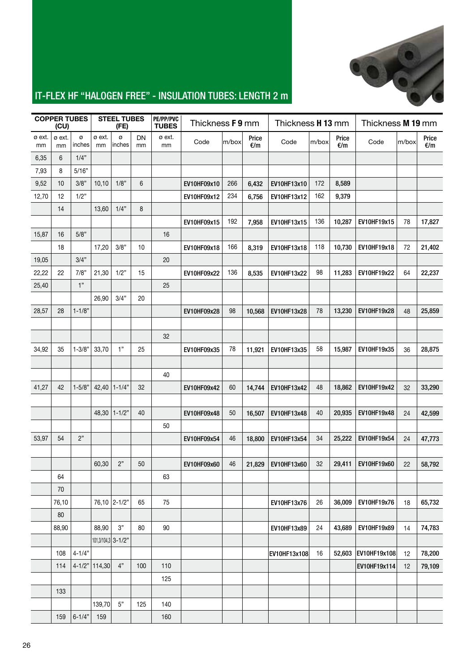

#### IT-FLEX HF "HALOGEN FREE" - INSULATION TUBES: LENGTH 2 m

|              | <b>COPPER TUBES</b><br>(CU) |             |                    | <b>STEEL TUBES</b><br>(FE) |                 | PE/PP/PVC<br><b>TUBES</b> | Thickness <b>F9</b> mm |       |              | Thickness H 13 mm |       | Thickness M 19 mm |                     |       |              |
|--------------|-----------------------------|-------------|--------------------|----------------------------|-----------------|---------------------------|------------------------|-------|--------------|-------------------|-------|-------------------|---------------------|-------|--------------|
| ø ext.<br>mm | ø ext.<br>mm                | ø<br>inches | ø ext.<br>mm       | ø<br>inches                | <b>DN</b><br>mm | ø ext.<br>mm              | Code                   | m/box | Price<br>€/m | Code              | m/box | Price<br>€/m      | Code                | m/box | Price<br>E/m |
| 6,35         | 6                           | 1/4"        |                    |                            |                 |                           |                        |       |              |                   |       |                   |                     |       |              |
| 7,93         | 8                           | 5/16"       |                    |                            |                 |                           |                        |       |              |                   |       |                   |                     |       |              |
| 9,52         | 10                          | 3/8"        | 10,10              | 1/8"                       | 6               |                           | EV10HF09x10            | 266   | 6,432        | EV10HF13x10       | 172   | 8,589             |                     |       |              |
| 12,70        | 12                          | 1/2"        |                    |                            |                 |                           | EV10HF09x12            | 234   | 6,756        | EV10HF13x12       | 162   | 9,379             |                     |       |              |
|              | 14                          |             | 13,60              | 1/4"                       | 8               |                           |                        |       |              |                   |       |                   |                     |       |              |
|              |                             |             |                    |                            |                 |                           | EV10HF09x15            | 192   | 7,958        | EV10HF13x15       | 136   | 10,287            | EV10HF19x15         | 78    | 17,827       |
| 15,87        | 16                          | 5/8"        |                    |                            |                 | 16                        |                        |       |              |                   |       |                   |                     |       |              |
|              | 18                          |             | 17,20              | 3/8"                       | 10              |                           | EV10HF09x18            | 166   | 8,319        | EV10HF13x18       | 118   | 10,730            | EV10HF19x18         | 72    | 21,402       |
| 19,05        |                             | 3/4"        |                    |                            |                 | 20                        |                        |       |              |                   |       |                   |                     |       |              |
| 22,22        | 22                          | 7/8"        | 21,30              | 1/2"                       | 15              |                           | EV10HF09x22            | 136   | 8,535        | EV10HF13x22       | 98    | 11,283            | EV10HF19x22         | 64    | 22,237       |
| 25,40        |                             | 1"          |                    |                            |                 | 25                        |                        |       |              |                   |       |                   |                     |       |              |
|              |                             |             | 26.90              | 3/4"                       | 20              |                           |                        |       |              |                   |       |                   |                     |       |              |
| 28,57        | 28                          | $1 - 1/8"$  |                    |                            |                 |                           | EV10HF09x28            | 98    | 10,568       | EV10HF13x28       | 78    | 13,230            | EV10HF19x28         | 48    | 25,859       |
|              |                             |             |                    |                            |                 |                           |                        |       |              |                   |       |                   |                     |       |              |
|              |                             |             |                    |                            |                 | 32                        |                        |       |              |                   |       |                   |                     |       |              |
| 34,92        | 35                          | $1 - 3/8"$  | 33,70              | 1"                         | 25              |                           | EV10HF09x35            | 78    | 11,921       | EV10HF13x35       | 58    | 15,987            | EV10HF19x35         | 36    | 28,875       |
|              |                             |             |                    |                            |                 |                           |                        |       |              |                   |       |                   |                     |       |              |
|              |                             |             |                    |                            |                 | 40                        |                        |       |              |                   |       |                   |                     |       |              |
| 41,27        | 42                          | $1 - 5/8"$  | 42,40              | $1 - 1/4"$                 | 32              |                           | EV10HF09x42            | 60    | 14,744       | EV10HF13x42       | 48    | 18,862            | EV10HF19x42         | 32    | 33,290       |
|              |                             |             |                    |                            |                 |                           |                        |       |              |                   |       |                   |                     |       |              |
|              |                             |             | 48,30              | $1 - 1/2"$                 | 40              |                           | EV10HF09x48            | 50    | 16,507       | EV10HF13x48       | 40    | 20,935            | EV10HF19x48         | 24    | 42,599       |
|              |                             |             |                    |                            |                 | 50                        |                        |       |              |                   |       |                   |                     |       |              |
| 53,97        | 54                          | 2"          |                    |                            |                 |                           | EV10HF09x54            | 46    | 18,800       | EV10HF13x54       | 34    | 25,222            | EV10HF19x54         | 24    | 47,773       |
|              |                             |             |                    |                            |                 |                           |                        |       |              |                   |       |                   |                     |       |              |
|              |                             |             | 60,30              | 2"                         | 50              |                           | EV10HF09x60            | 46    | 21,829       | EV10HF13x60       | 32    | 29,411            | EV10HF19x60         | 22    | 58,792       |
|              | 64                          |             |                    |                            |                 | 63                        |                        |       |              |                   |       |                   |                     |       |              |
|              | 70                          |             |                    |                            |                 |                           |                        |       |              |                   |       |                   |                     |       |              |
|              | 76,10                       |             |                    | 76,10 2-1/2"               | 65              | 75                        |                        |       |              | EV10HF13x76       | 26    | 36,009            | EV10HF19x76         | 18    | 65,732       |
|              | 80                          |             |                    |                            |                 |                           |                        |       |              |                   |       |                   |                     |       |              |
|              | 88,90                       |             | 88,90              | $3"$                       | 80              | 90                        |                        |       |              | EV10HF13x89       | 24    | 43,689            | EV10HF19x89         | 14    | 74,783       |
|              |                             |             | 101,3/104,3 3-1/2" |                            |                 |                           |                        |       |              |                   |       |                   |                     |       |              |
|              | 108                         | $4 - 1/4"$  |                    |                            |                 |                           |                        |       |              | EV10HF13x108      | 16    |                   | 52,603 EV10HF19x108 | 12    | 78,200       |
|              | 114                         |             | 4-1/2" 114,30      | $4"$                       | 100             | 110                       |                        |       |              |                   |       |                   | EV10HF19x114        | 12    | 79,109       |
|              |                             |             |                    |                            |                 | 125                       |                        |       |              |                   |       |                   |                     |       |              |
|              | 133                         |             |                    | $5"$                       |                 |                           |                        |       |              |                   |       |                   |                     |       |              |
|              |                             |             | 139,70             |                            | 125             | 140                       |                        |       |              |                   |       |                   |                     |       |              |
|              | 159                         | $6 - 1/4"$  | 159                |                            |                 | 160                       |                        |       |              |                   |       |                   |                     |       |              |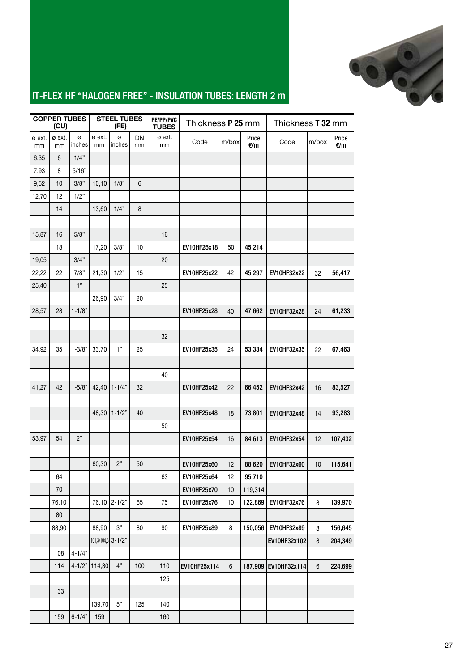

### IT-FLEX HF "HALOGEN FREE" - INSULATION TUBES: LENGTH 2 m

|              | <b>COPPER TUBES</b><br>(CU) |             |                 | <b>STEEL TUBES</b><br>(FE) |          | PE/PP/PVC<br><b>TUBES</b> |                    | Thickness P 25 mm<br>Thickness <b>T 32 mm</b> |              |              |         |              |  |
|--------------|-----------------------------|-------------|-----------------|----------------------------|----------|---------------------------|--------------------|-----------------------------------------------|--------------|--------------|---------|--------------|--|
| ø ext.<br>mm | ø ext.<br>mm                | ø<br>inches | ø ext.<br>mm    | ø<br>inches                | DN<br>mm | ø ext.<br>mm              | Code               | m/box                                         | Price<br>E/m | Code         | m/box   | Price<br>€/m |  |
| 6,35         | 6                           | 1/4"        |                 |                            |          |                           |                    |                                               |              |              |         |              |  |
| 7,93         | 8                           | 5/16"       |                 |                            |          |                           |                    |                                               |              |              |         |              |  |
| 9,52         | 10                          | 3/8"        | 10, 10          | 1/8"                       | 6        |                           |                    |                                               |              |              |         |              |  |
| 12,70        | 12                          | 1/2"        |                 |                            |          |                           |                    |                                               |              |              |         |              |  |
|              | 14                          |             | 13,60           | 1/4"                       | 8        |                           |                    |                                               |              |              |         |              |  |
|              |                             |             |                 |                            |          |                           |                    |                                               |              |              |         |              |  |
| 15,87        | 16                          | 5/8"        |                 |                            |          | 16                        |                    |                                               |              |              |         |              |  |
|              | 18                          |             | 17,20           | 3/8"                       | 10       |                           | EV10HF25x18        | 50                                            | 45,214       |              |         |              |  |
| 19,05        |                             | 3/4"        |                 |                            |          | 20                        |                    |                                               |              |              |         |              |  |
| 22,22        | 22                          | 7/8"        | 21,30           | 1/2"                       | 15       |                           | <b>EV10HF25x22</b> | 42                                            | 45,297       | EV10HF32x22  | 32      | 56,417       |  |
| 25,40        |                             | 1"          |                 |                            |          | 25                        |                    |                                               |              |              |         |              |  |
|              |                             |             | 26,90           | 3/4"                       | 20       |                           |                    |                                               |              |              |         |              |  |
| 28,57        | 28                          | $1 - 1/8"$  |                 |                            |          |                           | <b>EV10HF25x28</b> | 40                                            | 47,662       | EV10HF32x28  | 24      | 61,233       |  |
|              |                             |             |                 |                            |          |                           |                    |                                               |              |              |         |              |  |
|              |                             |             |                 |                            |          | 32                        |                    |                                               |              |              |         |              |  |
| 34,92        | 35                          | $1 - 3/8"$  | 33,70           | 1"                         | 25       |                           | EV10HF25x35        | 24                                            | 53,334       | EV10HF32x35  | 22      | 67,463       |  |
|              |                             |             |                 |                            |          |                           |                    |                                               |              |              |         |              |  |
|              |                             |             |                 |                            |          | 40                        |                    |                                               |              |              |         |              |  |
| 41,27        | 42                          | $1 - 5/8"$  | 42,40           | $1 - 1/4"$                 | 32       |                           | EV10HF25x42        | 22                                            | 66,452       | EV10HF32x42  | 16      | 83,527       |  |
|              |                             |             |                 |                            |          |                           |                    |                                               |              |              |         |              |  |
|              |                             |             | 48,30           | $1 - 1/2"$                 | 40       |                           | EV10HF25x48        | 18                                            | 73,801       | EV10HF32x48  | 14      | 93,283       |  |
|              |                             |             |                 |                            |          | 50                        |                    |                                               |              |              |         |              |  |
| 53,97        | 54                          | 2"          |                 |                            |          |                           | EV10HF25x54        | 16                                            | 84,613       | EV10HF32x54  | 12      | 107,432      |  |
|              |                             |             |                 |                            |          |                           |                    |                                               |              |              |         |              |  |
|              |                             |             | 60,30           | 2"                         | 50       |                           | EV10HF25x60        | 12                                            | 88,620       | EV10HF32x60  | 10      | 115,641      |  |
|              | 64                          |             |                 |                            |          | 63                        | EV10HF25x64        | 12                                            | 95,710       |              |         |              |  |
|              | 70                          |             |                 |                            |          |                           | EV10HF25x70        | 10                                            | 119,314      |              |         |              |  |
|              | 76,10                       |             |                 | 76,10 2-1/2"               | 65       | 75                        | EV10HF25x76        | 10                                            | 122,869      | EV10HF32x76  | 8       | 139,970      |  |
|              | 80                          |             |                 |                            |          |                           |                    |                                               |              |              |         |              |  |
|              | 88,90                       |             | 88,90           | $3"$                       | 80       | 90                        | EV10HF25x89        | 8                                             | 150,056      | EV10HF32x89  | 8       | 156,645      |  |
|              |                             |             |                 | 101,3/104,3 3-1/2"         |          |                           |                    |                                               |              | EV10HF32x102 | 8       | 204,349      |  |
|              | 108                         | $4 - 1/4"$  |                 |                            |          |                           |                    |                                               |              |              |         |              |  |
|              | 114                         |             | 4-1/2"   114,30 | 4"                         | 100      | 110                       | EV10HF25x114       | $\,6\,$                                       | 187,909      | EV10HF32x114 | $\,6\,$ | 224,699      |  |
|              |                             |             |                 |                            |          | 125                       |                    |                                               |              |              |         |              |  |
|              | 133                         |             |                 |                            |          |                           |                    |                                               |              |              |         |              |  |
|              |                             |             | 139,70          | $5"$                       | 125      | 140                       |                    |                                               |              |              |         |              |  |
|              | 159                         | $6 - 1/4"$  | 159             |                            |          | 160                       |                    |                                               |              |              |         |              |  |